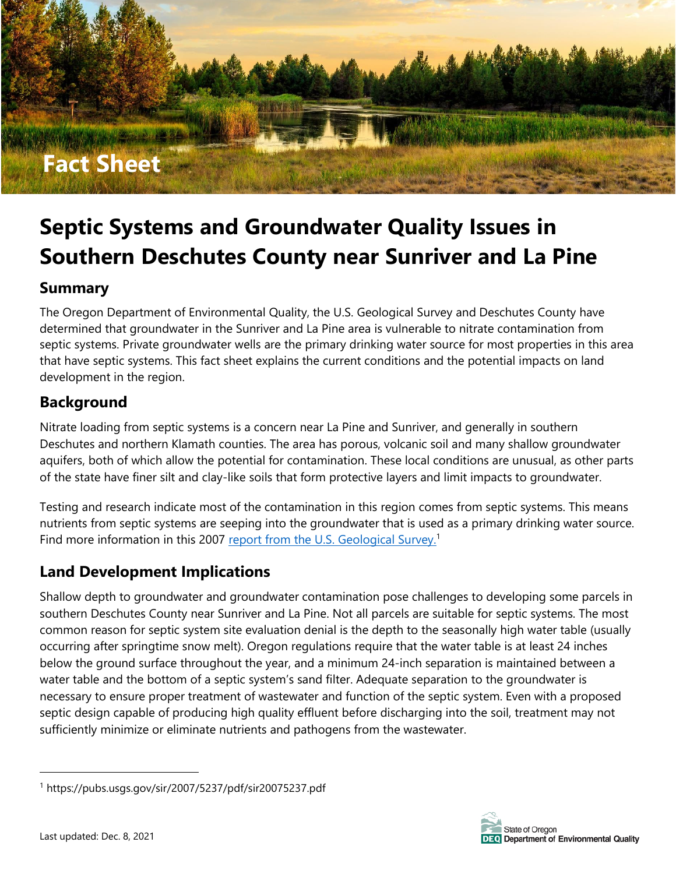

# **Septic Systems and Groundwater Quality Issues in Southern Deschutes County near Sunriver and La Pine**

#### **Summary**

The Oregon Department of Environmental Quality, the U.S. Geological Survey and Deschutes County have determined that groundwater in the Sunriver and La Pine area is vulnerable to nitrate contamination from septic systems. Private groundwater wells are the primary drinking water source for most properties in this area that have septic systems. This fact sheet explains the current conditions and the potential impacts on land development in the region.

## **Background**

Nitrate loading from septic systems is a concern near La Pine and Sunriver, and generally in southern Deschutes and northern Klamath counties. The area has porous, volcanic soil and many shallow groundwater aquifers, both of which allow the potential for contamination. These local conditions are unusual, as other parts of the state have finer silt and clay-like soils that form protective layers and limit impacts to groundwater.

Testing and research indicate most of the contamination in this region comes from septic systems. This means nutrients from septic systems are seeping into the groundwater that is used as a primary drinking water source. Find more information in this 2007 [report from the U.S.](https://pubs.usgs.gov/sir/2007/5237/pdf/sir20075237.pdf) Geological Survey.<sup>1</sup>

### **Land Development Implications**

Shallow depth to groundwater and groundwater contamination pose challenges to developing some parcels in southern Deschutes County near Sunriver and La Pine. Not all parcels are suitable for septic systems. The most common reason for septic system site evaluation denial is the depth to the seasonally high water table (usually occurring after springtime snow melt). Oregon regulations require that the water table is at least 24 inches below the ground surface throughout the year, and a minimum 24-inch separation is maintained between a water table and the bottom of a septic system's sand filter. Adequate separation to the groundwater is necessary to ensure proper treatment of wastewater and function of the septic system. Even with a proposed septic design capable of producing high quality effluent before discharging into the soil, treatment may not sufficiently minimize or eliminate nutrients and pathogens from the wastewater.



<sup>1</sup> https://pubs.usgs.gov/sir/2007/5237/pdf/sir20075237.pdf